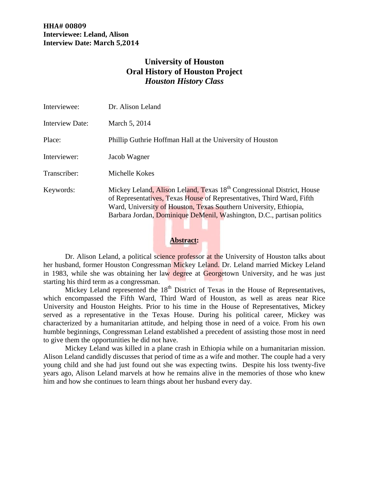# **University of Houston Oral History of Houston Project** *Houston History Class*

| Interviewee:           | Dr. Alison Leland                                                                                                                                                                                                                                                                                          |
|------------------------|------------------------------------------------------------------------------------------------------------------------------------------------------------------------------------------------------------------------------------------------------------------------------------------------------------|
| <b>Interview Date:</b> | March 5, 2014                                                                                                                                                                                                                                                                                              |
| Place:                 | Phillip Guthrie Hoffman Hall at the University of Houston                                                                                                                                                                                                                                                  |
| Interviewer:           | Jacob Wagner                                                                                                                                                                                                                                                                                               |
| Transcriber:           | Michelle Kokes                                                                                                                                                                                                                                                                                             |
| Keywords:              | Mickey Leland, Alison Leland, Texas 18 <sup>th</sup> Congressional District, House<br>of Representatives, Texas House of Representatives, Third Ward, Fifth<br>Ward, University of Houston, Texas Southern University, Ethiopia,<br>Barbara Jordan, Dominique DeMenil, Washington, D.C., partisan politics |

#### **Abstract:**

Dr. Alison Leland, a political science professor at the University of Houston talks about her husband, former Houston Congressman Mickey Leland. Dr. Leland married Mickey Leland in 1983, while she was obtaining her law degree at Georgetown University, and he was just starting his third term as a congressman.

Mickey Leland represented the  $18<sup>th</sup>$  District of Texas in the House of Representatives, which encompassed the Fifth Ward, Third Ward of Houston, as well as areas near Rice University and Houston Heights. Prior to his time in the House of Representatives, Mickey served as a representative in the Texas House. During his political career, Mickey was characterized by a humanitarian attitude, and helping those in need of a voice. From his own humble beginnings, Congressman Leland established a precedent of assisting those most in need to give them the opportunities he did not have.

Mickey Leland was killed in a plane crash in Ethiopia while on a humanitarian mission. Alison Leland candidly discusses that period of time as a wife and mother. The couple had a very young child and she had just found out she was expecting twins. Despite his loss twenty-five years ago, Alison Leland marvels at how he remains alive in the memories of those who knew him and how she continues to learn things about her husband every day.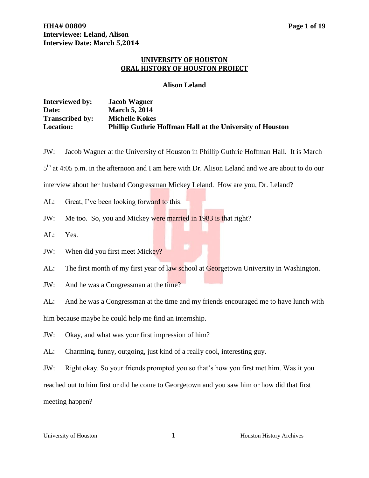# **UNIVERSITY OF HOUSTON ORAL HISTORY OF HOUSTON PROJECT**

#### **Alison Leland**

| <b>Interviewed by:</b> | <b>Jacob Wagner</b>                                              |
|------------------------|------------------------------------------------------------------|
| Date:                  | <b>March 5, 2014</b>                                             |
| <b>Transcribed by:</b> | <b>Michelle Kokes</b>                                            |
| <b>Location:</b>       | <b>Phillip Guthrie Hoffman Hall at the University of Houston</b> |

JW: Jacob Wagner at the University of Houston in Phillip Guthrie Hoffman Hall. It is March 5<sup>th</sup> at 4:05 p.m. in the afternoon and I am here with Dr. Alison Leland and we are about to do our interview about her husband Congressman Mickey Leland. How are you, Dr. Leland? AL: Great, I've been looking forward to this. JW: Me too. So, you and Mickey were married in 1983 is that right? AL: Yes. JW: When did you first meet Mickey?

AL: The first month of my first year of law school at Georgetown University in Washington.

JW: And he was a Congressman at the time?

AL: And he was a Congressman at the time and my friends encouraged me to have lunch with

him because maybe he could help me find an internship.

JW: Okay, and what was your first impression of him?

AL: Charming, funny, outgoing, just kind of a really cool, interesting guy.

JW: Right okay. So your friends prompted you so that's how you first met him. Was it you

reached out to him first or did he come to Georgetown and you saw him or how did that first meeting happen?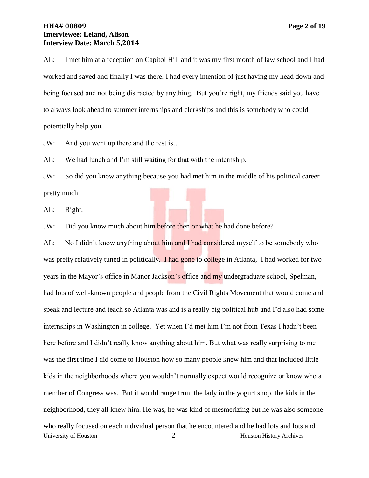# **HHA# 00809 Page 2 of 19 Interviewee: Leland, Alison Interview Date: March 5,2014**

AL: I met him at a reception on Capitol Hill and it was my first month of law school and I had worked and saved and finally I was there. I had every intention of just having my head down and being focused and not being distracted by anything. But you're right, my friends said you have to always look ahead to summer internships and clerkships and this is somebody who could potentially help you.

JW: And you went up there and the rest is…

AL: We had lunch and I'm still waiting for that with the internship.

JW: So did you know anything because you had met him in the middle of his political career pretty much.

AL: Right.

JW: Did you know much about him before then or what he had done before?

University of Houston 2 Houston History Archives AL: No I didn't know anything about him and I had considered myself to be somebody who was pretty relatively tuned in politically. I had gone to college in Atlanta, I had worked for two years in the Mayor's office in Manor Jackson's office and my undergraduate school, Spelman, had lots of well-known people and people from the Civil Rights Movement that would come and speak and lecture and teach so Atlanta was and is a really big political hub and I'd also had some internships in Washington in college. Yet when I'd met him I'm not from Texas I hadn't been here before and I didn't really know anything about him. But what was really surprising to me was the first time I did come to Houston how so many people knew him and that included little kids in the neighborhoods where you wouldn't normally expect would recognize or know who a member of Congress was. But it would range from the lady in the yogurt shop, the kids in the neighborhood, they all knew him. He was, he was kind of mesmerizing but he was also someone who really focused on each individual person that he encountered and he had lots and lots and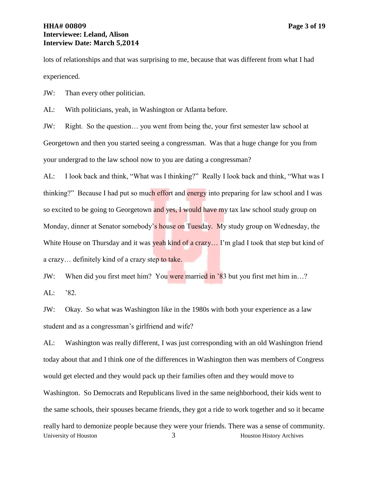# **HHA# 00809 Page 3 of 19 Interviewee: Leland, Alison Interview Date: March 5,2014**

lots of relationships and that was surprising to me, because that was different from what I had experienced.

JW: Than every other politician.

AL: With politicians, yeah, in Washington or Atlanta before.

JW: Right. So the question… you went from being the, your first semester law school at Georgetown and then you started seeing a congressman. Was that a huge change for you from your undergrad to the law school now to you are dating a congressman?

AL: I look back and think, "What was I thinking?" Really I look back and think, "What was I thinking?" Because I had put so much effort and energy into preparing for law school and I was so excited to be going to Georgetown and yes, I would have my tax law school study group on Monday, dinner at Senator somebody's house on Tuesday. My study group on Wednesday, the White House on Thursday and it was yeah kind of a crazy... I'm glad I took that step but kind of a crazy… definitely kind of a crazy step to take.

JW: When did you first meet him? You were married in '83 but you first met him in...? AL: '82.

JW: Okay. So what was Washington like in the 1980s with both your experience as a law student and as a congressman's girlfriend and wife?

University of Houston 3 3 Houston History Archives AL: Washington was really different, I was just corresponding with an old Washington friend today about that and I think one of the differences in Washington then was members of Congress would get elected and they would pack up their families often and they would move to Washington. So Democrats and Republicans lived in the same neighborhood, their kids went to the same schools, their spouses became friends, they got a ride to work together and so it became really hard to demonize people because they were your friends. There was a sense of community.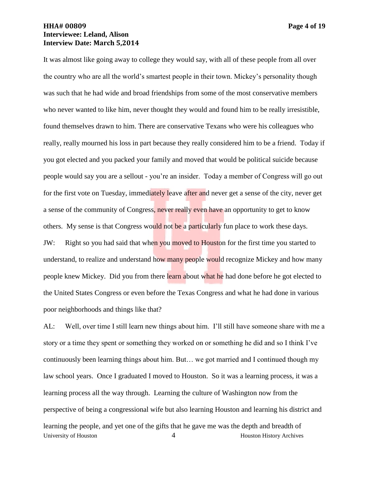# **HHA# 00809 Page 4 of 19 Interviewee: Leland, Alison Interview Date: March 5,2014**

It was almost like going away to college they would say, with all of these people from all over the country who are all the world's smartest people in their town. Mickey's personality though was such that he had wide and broad friendships from some of the most conservative members who never wanted to like him, never thought they would and found him to be really irresistible, found themselves drawn to him. There are conservative Texans who were his colleagues who really, really mourned his loss in part because they really considered him to be a friend. Today if you got elected and you packed your family and moved that would be political suicide because people would say you are a sellout - you're an insider. Today a member of Congress will go out for the first vote on Tuesday, immediately leave after and never get a sense of the city, never get a sense of the community of Congress, never really even have an opportunity to get to know others. My sense is that Congress would not be a particularly fun place to work these days. JW: Right so you had said that when you moved to Houston for the first time you started to understand, to realize and understand how many people would recognize Mickey and how many people knew Mickey. Did you from there learn about what he had done before he got elected to the United States Congress or even before the Texas Congress and what he had done in various poor neighborhoods and things like that?

University of Houston **4** Houston History Archives AL: Well, over time I still learn new things about him. I'll still have someone share with me a story or a time they spent or something they worked on or something he did and so I think I've continuously been learning things about him. But… we got married and I continued though my law school years. Once I graduated I moved to Houston. So it was a learning process, it was a learning process all the way through. Learning the culture of Washington now from the perspective of being a congressional wife but also learning Houston and learning his district and learning the people, and yet one of the gifts that he gave me was the depth and breadth of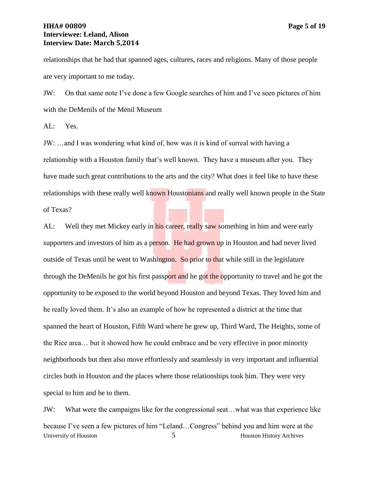# **HHA# 00809 Page 5 of 19 Interviewee: Leland, Alison Interview Date: March 5,2014**

relationships that he had that spanned ages, cultures, races and religions. Many of those people are very important to me today.

JW: On that same note I've done a few Google searches of him and I've seen pictures of him with the DeMenils of the Menil Museum

AL: Yes.

JW: …and I was wondering what kind of, how was it is kind of surreal with having a relationship with a Houston family that's well known. They have a museum after you. They have made such great contributions to the arts and the city? What does it feel like to have these relationships with these really well known Houstonians and really well known people in the State of Texas?

AL: Well they met Mickey early in his career, really saw something in him and were early supporters and investors of him as a person. He had grown up in Houston and had never lived outside of Texas until he went to Washington. So prior to that while still in the legislature through the DeMenils he got his first passport and he got the opportunity to travel and he got the opportunity to be exposed to the world beyond Houston and beyond Texas. They loved him and he really loved them. It's also an example of how he represented a district at the time that spanned the heart of Houston, Fifth Ward where he grew up, Third Ward, The Heights, some of the Rice area… but it showed how he could embrace and be very effective in poor minority neighborhoods but then also move effortlessly and seamlessly in very important and influential circles both in Houston and the places where those relationships took him. They were very special to him and he to them.

University of Houston 5 5 Houston History Archives JW: What were the campaigns like for the congressional seat…what was that experience like because I've seen a few pictures of him "Leland…Congress" behind you and him were at the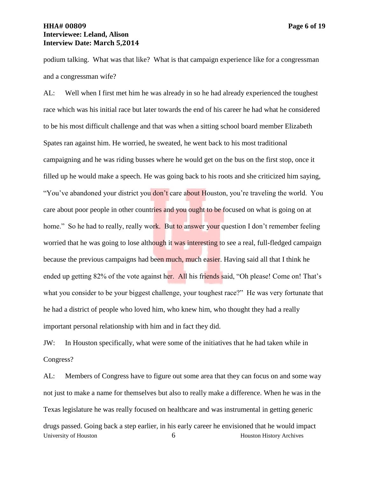# **HHA# 00809 Page 6 of 19 Interviewee: Leland, Alison Interview Date: March 5,2014**

podium talking. What was that like? What is that campaign experience like for a congressman and a congressman wife?

AL: Well when I first met him he was already in so he had already experienced the toughest race which was his initial race but later towards the end of his career he had what he considered to be his most difficult challenge and that was when a sitting school board member Elizabeth Spates ran against him. He worried, he sweated, he went back to his most traditional campaigning and he was riding busses where he would get on the bus on the first stop, once it filled up he would make a speech. He was going back to his roots and she criticized him saying, "You've abandoned your district you don't care about Houston, you're traveling the world. You care about poor people in other countries and you ought to be focused on what is going on at home." So he had to really, really work. But to answer your question I don't remember feeling worried that he was going to lose although it was interesting to see a real, full-fledged campaign because the previous campaigns had been much, much easier. Having said all that I think he ended up getting 82% of the vote against her. All his friends said, "Oh please! Come on! That's what you consider to be your biggest challenge, your toughest race?" He was very fortunate that he had a district of people who loved him, who knew him, who thought they had a really important personal relationship with him and in fact they did.

JW: In Houston specifically, what were some of the initiatives that he had taken while in Congress?

University of Houston 6 and 6 Houston History Archives AL: Members of Congress have to figure out some area that they can focus on and some way not just to make a name for themselves but also to really make a difference. When he was in the Texas legislature he was really focused on healthcare and was instrumental in getting generic drugs passed. Going back a step earlier, in his early career he envisioned that he would impact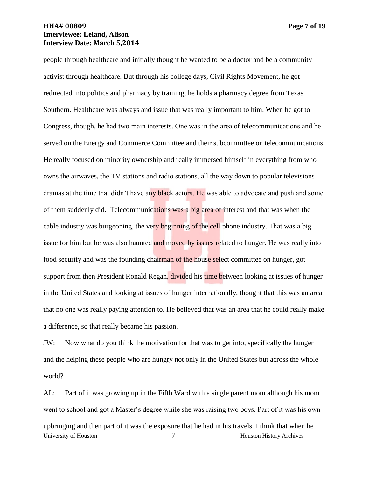# **HHA# 00809 Page 7 of 19 Interviewee: Leland, Alison Interview Date: March 5,2014**

people through healthcare and initially thought he wanted to be a doctor and be a community activist through healthcare. But through his college days, Civil Rights Movement, he got redirected into politics and pharmacy by training, he holds a pharmacy degree from Texas Southern. Healthcare was always and issue that was really important to him. When he got to Congress, though, he had two main interests. One was in the area of telecommunications and he served on the Energy and Commerce Committee and their subcommittee on telecommunications. He really focused on minority ownership and really immersed himself in everything from who owns the airwaves, the TV stations and radio stations, all the way down to popular televisions dramas at the time that didn't have any black actors. He was able to advocate and push and some of them suddenly did. Telecommunications was a big area of interest and that was when the cable industry was burgeoning, the very beginning of the cell phone industry. That was a big issue for him but he was also haunted and moved by issues related to hunger. He was really into food security and was the founding chairman of the house select committee on hunger, got support from then President Ronald Regan, divided his time between looking at issues of hunger in the United States and looking at issues of hunger internationally, thought that this was an area that no one was really paying attention to. He believed that was an area that he could really make a difference, so that really became his passion.

JW: Now what do you think the motivation for that was to get into, specifically the hunger and the helping these people who are hungry not only in the United States but across the whole world?

University of Houston 7 T and Houston History Archives AL: Part of it was growing up in the Fifth Ward with a single parent mom although his mom went to school and got a Master's degree while she was raising two boys. Part of it was his own upbringing and then part of it was the exposure that he had in his travels. I think that when he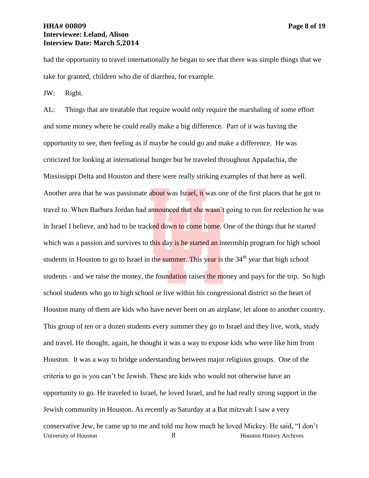# **HHA# 00809 Page 8 of 19 Interviewee: Leland, Alison Interview Date: March 5,2014**

had the opportunity to travel internationally he began to see that there was simple things that we take for granted, children who die of diarrhea, for example.

JW: Right.

University of Houston 8 and 8 Houston History Archives AL: Things that are treatable that require would only require the marshaling of some effort and some money where he could really make a big difference. Part of it was having the opportunity to see, then feeling as if maybe he could go and make a difference. He was criticized for looking at international hunger but he traveled throughout Appalachia, the Mississippi Delta and Houston and there were really striking examples of that here as well. Another area that he was passionate about was Israel, it was one of the first places that he got to travel to. When Barbara Jordan had announced that she wasn't going to run for reelection he was in Israel I believe, and had to be tracked down to come home. One of the things that he started which was a passion and survives to this day is he started an internship program for high school students in Houston to go to Israel in the summer. This year is the 34<sup>th</sup> year that high school students - and we raise the money, the foundation raises the money and pays for the trip. So high school students who go to high school or live within his congressional district so the heart of Houston many of them are kids who have never been on an airplane, let alone to another country. This group of ten or a dozen students every summer they go to Israel and they live, work, study and travel. He thought, again, he thought it was a way to expose kids who were like him from Houston. It was a way to bridge understanding between major religious groups. One of the criteria to go is you can't be Jewish. These are kids who would not otherwise have an opportunity to go. He traveled to Israel, he loved Israel, and he had really strong support in the Jewish community in Houston. As recently as Saturday at a Bat mitzvah I saw a very conservative Jew, he came up to me and told me how much he loved Mickey. He said, "I don't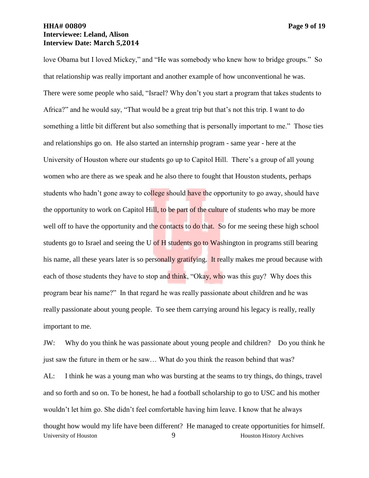# **HHA# 00809 Page 9 of 19 Interviewee: Leland, Alison Interview Date: March 5,2014**

love Obama but I loved Mickey," and "He was somebody who knew how to bridge groups." So that relationship was really important and another example of how unconventional he was. There were some people who said, "Israel? Why don't you start a program that takes students to Africa?" and he would say, "That would be a great trip but that's not this trip. I want to do something a little bit different but also something that is personally important to me." Those ties and relationships go on. He also started an internship program - same year - here at the University of Houston where our students go up to Capitol Hill. There's a group of all young women who are there as we speak and he also there to fought that Houston students, perhaps students who hadn't gone away to college should have the opportunity to go away, should have the opportunity to work on Capitol Hill, to be part of the culture of students who may be more well off to have the opportunity and the contacts to do that. So for me seeing these high school students go to Israel and seeing the U of H students go to Washington in programs still bearing his name, all these years later is so personally gratifying. It really makes me proud because with each of those students they have to stop and think, "Okay, who was this guy? Why does this program bear his name?" In that regard he was really passionate about children and he was really passionate about young people. To see them carrying around his legacy is really, really important to me.

JW: Why do you think he was passionate about young people and children? Do you think he just saw the future in them or he saw… What do you think the reason behind that was?

University of Houston 19 (1992) 9 Houston History Archives AL: I think he was a young man who was bursting at the seams to try things, do things, travel and so forth and so on. To be honest, he had a football scholarship to go to USC and his mother wouldn't let him go. She didn't feel comfortable having him leave. I know that he always thought how would my life have been different? He managed to create opportunities for himself.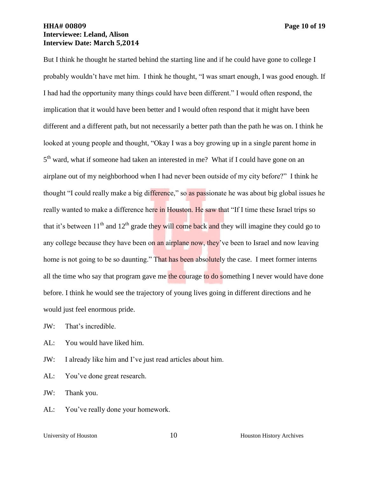# **HHA# 00809 Page 10 of 19 Interviewee: Leland, Alison Interview Date: March 5,2014**

But I think he thought he started behind the starting line and if he could have gone to college I probably wouldn't have met him. I think he thought, "I was smart enough, I was good enough. If I had had the opportunity many things could have been different." I would often respond, the implication that it would have been better and I would often respond that it might have been different and a different path, but not necessarily a better path than the path he was on. I think he looked at young people and thought, "Okay I was a boy growing up in a single parent home in 5<sup>th</sup> ward, what if someone had taken an interested in me? What if I could have gone on an airplane out of my neighborhood when I had never been outside of my city before?" I think he thought "I could really make a big difference," so as passionate he was about big global issues he really wanted to make a difference here in Houston. He saw that "If I time these Israel trips so that it's between  $11<sup>th</sup>$  and  $12<sup>th</sup>$  grade they will come back and they will imagine they could go to any college because they have been on an airplane now, they've been to Israel and now leaving home is not going to be so daunting." That has been absolutely the case. I meet former interns all the time who say that program gave me the courage to do something I never would have done before. I think he would see the trajectory of young lives going in different directions and he would just feel enormous pride.

JW: That's incredible.

AL: You would have liked him.

JW: I already like him and I've just read articles about him.

AL: You've done great research.

JW: Thank you.

AL: You've really done your homework.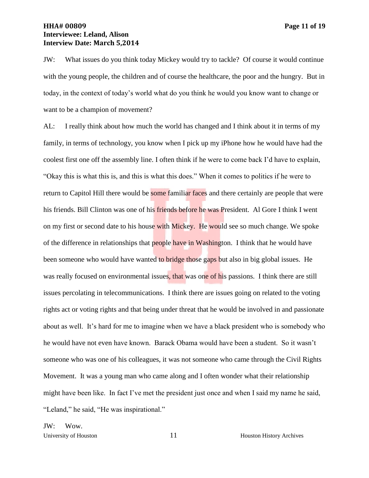# **HHA# 00809 Page 11 of 19 Interviewee: Leland, Alison Interview Date: March 5,2014**

JW: What issues do you think today Mickey would try to tackle? Of course it would continue with the young people, the children and of course the healthcare, the poor and the hungry. But in today, in the context of today's world what do you think he would you know want to change or want to be a champion of movement?

AL: I really think about how much the world has changed and I think about it in terms of my family, in terms of technology, you know when I pick up my iPhone how he would have had the coolest first one off the assembly line. I often think if he were to come back I'd have to explain, "Okay this is what this is, and this is what this does." When it comes to politics if he were to return to Capitol Hill there would be some familiar faces and there certainly are people that were his friends. Bill Clinton was one of his friends before he was President. Al Gore I think I went on my first or second date to his house with Mickey. He would see so much change. We spoke of the difference in relationships that people have in Washington. I think that he would have been someone who would have wanted to bridge those gaps but also in big global issues. He was really focused on environmental issues, that was one of his passions. I think there are still issues percolating in telecommunications. I think there are issues going on related to the voting rights act or voting rights and that being under threat that he would be involved in and passionate about as well. It's hard for me to imagine when we have a black president who is somebody who he would have not even have known. Barack Obama would have been a student. So it wasn't someone who was one of his colleagues, it was not someone who came through the Civil Rights Movement. It was a young man who came along and I often wonder what their relationship might have been like. In fact I've met the president just once and when I said my name he said, "Leland," he said, "He was inspirational."

JW: Wow.

University of Houston 11 Houston History Archives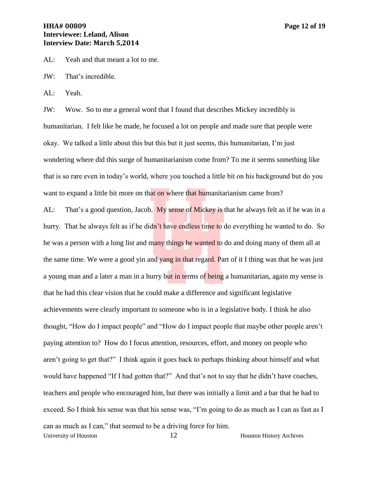AL: Yeah and that meant a lot to me.

JW: That's incredible.

AL: Yeah.

JW: Wow. So to me a general word that I found that describes Mickey incredibly is humanitarian. I felt like he made, he focused a lot on people and made sure that people were okay. We talked a little about this but this but it just seems, this humanitarian, I'm just wondering where did this surge of humanitarianism come from? To me it seems something like that is so rare even in today's world, where you touched a little bit on his background but do you want to expand a little bit more on that on where that humanitarianism came from?

University of Houston 12 Houston History Archives AL: That's a good question, Jacob. My sense of Mickey is that he always felt as if he was in a hurry. That he always felt as if he didn't have endless time to do everything he wanted to do. So he was a person with a long list and many things he wanted to do and doing many of them all at the same time. We were a good yin and **yang in that regard.** Part of it I thing was that he was just a young man and a later a man in a hurry but in terms of being a humanitarian, again my sense is that he had this clear vision that he could make a difference and significant legislative achievements were clearly important to someone who is in a legislative body. I think he also thought, "How do I impact people" and "How do I impact people that maybe other people aren't paying attention to? How do I focus attention, resources, effort, and money on people who aren't going to get that?" I think again it goes back to perhaps thinking about himself and what would have happened "If I had gotten that?" And that's not to say that he didn't have coaches, teachers and people who encouraged him, but there was initially a limit and a bar that he had to exceed. So I think his sense was that his sense was, "I'm going to do as much as I can as fast as I can as much as I can," that seemed to be a driving force for him.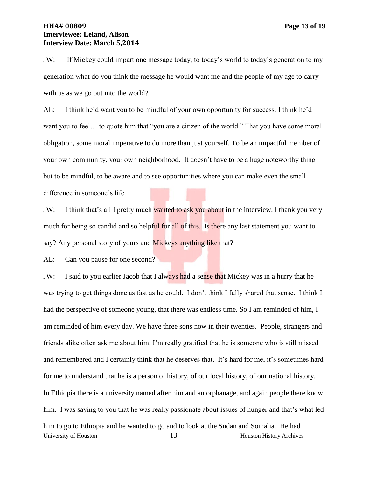# **HHA# 00809 Page 13 of 19 Interviewee: Leland, Alison Interview Date: March 5,2014**

JW: If Mickey could impart one message today, to today's world to today's generation to my generation what do you think the message he would want me and the people of my age to carry with us as we go out into the world?

AL: I think he'd want you to be mindful of your own opportunity for success. I think he'd want you to feel… to quote him that "you are a citizen of the world." That you have some moral obligation, some moral imperative to do more than just yourself. To be an impactful member of your own community, your own neighborhood. It doesn't have to be a huge noteworthy thing but to be mindful, to be aware and to see opportunities where you can make even the small difference in someone's life.

JW: I think that's all I pretty much wanted to ask you about in the interview. I thank you very much for being so candid and so helpful for all of this. Is there any last statement you want to say? Any personal story of yours and Mickeys anything like that?

AL: Can you pause for one second?

University of Houston 13 Houston History Archives JW: I said to you earlier Jacob that I always had a sense that Mickey was in a hurry that he was trying to get things done as fast as he could. I don't think I fully shared that sense. I think I had the perspective of someone young, that there was endless time. So I am reminded of him, I am reminded of him every day. We have three sons now in their twenties. People, strangers and friends alike often ask me about him. I'm really gratified that he is someone who is still missed and remembered and I certainly think that he deserves that. It's hard for me, it's sometimes hard for me to understand that he is a person of history, of our local history, of our national history. In Ethiopia there is a university named after him and an orphanage, and again people there know him. I was saying to you that he was really passionate about issues of hunger and that's what led him to go to Ethiopia and he wanted to go and to look at the Sudan and Somalia. He had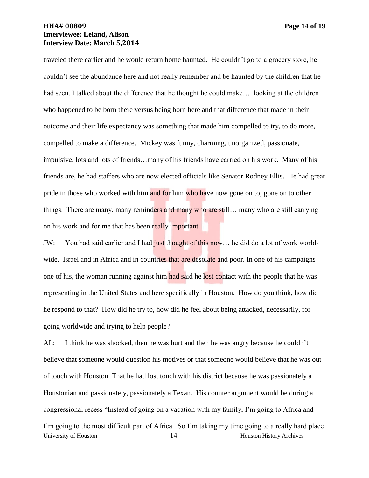# **HHA# 00809 Page 14 of 19 Interviewee: Leland, Alison Interview Date: March 5,2014**

traveled there earlier and he would return home haunted. He couldn't go to a grocery store, he couldn't see the abundance here and not really remember and be haunted by the children that he had seen. I talked about the difference that he thought he could make... looking at the children who happened to be born there versus being born here and that difference that made in their outcome and their life expectancy was something that made him compelled to try, to do more, compelled to make a difference. Mickey was funny, charming, unorganized, passionate, impulsive, lots and lots of friends…many of his friends have carried on his work. Many of his friends are, he had staffers who are now elected officials like Senator Rodney Ellis. He had great pride in those who worked with him and for him who have now gone on to, gone on to other things. There are many, many reminders and many who are still... many who are still carrying on his work and for me that has been really important.

JW: You had said earlier and I had just thought of this now... he did do a lot of work worldwide. Israel and in Africa and in countries that are desolate and poor. In one of his campaigns one of his, the woman running against him had said he lost contact with the people that he was representing in the United States and here specifically in Houston. How do you think, how did he respond to that? How did he try to, how did he feel about being attacked, necessarily, for going worldwide and trying to help people?

University of Houston 14 Houston History Archives AL: I think he was shocked, then he was hurt and then he was angry because he couldn't believe that someone would question his motives or that someone would believe that he was out of touch with Houston. That he had lost touch with his district because he was passionately a Houstonian and passionately, passionately a Texan. His counter argument would be during a congressional recess "Instead of going on a vacation with my family, I'm going to Africa and I'm going to the most difficult part of Africa. So I'm taking my time going to a really hard place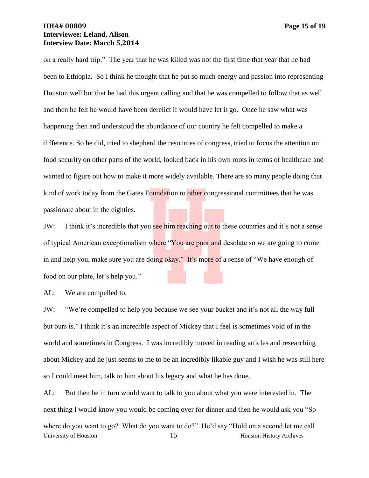# **HHA# 00809 Page 15 of 19 Interviewee: Leland, Alison Interview Date: March 5,2014**

on a really hard trip." The year that he was killed was not the first time that year that he had been to Ethiopia. So I think he thought that he put so much energy and passion into representing Houston well but that he had this urgent calling and that he was compelled to follow that as well and then he felt he would have been derelict if would have let it go. Once he saw what was happening then and understood the abundance of our country he felt compelled to make a difference. So he did, tried to shepherd the resources of congress, tried to focus the attention on food security on other parts of the world, looked back in his own roots in terms of healthcare and wanted to figure out how to make it more widely available. There are so many people doing that kind of work today from the Gates Foundation to other congressional committees that he was passionate about in the eighties.

JW: I think it's incredible that you see him reaching out to these countries and it's not a sense of typical American exceptionalism where "You are poor and desolate so we are going to come in and help you, make sure you are doing okay." It's more of a sense of "We have enough of food on our plate, let's help you."

AL: We are compelled to.

JW: "We're compelled to help you because we see your bucket and it's not all the way full but ours is." I think it's an incredible aspect of Mickey that I feel is sometimes void of in the world and sometimes in Congress. I was incredibly moved in reading articles and researching about Mickey and he just seems to me to be an incredibly likable guy and I wish he was still here so I could meet him, talk to him about his legacy and what he has done.

University of Houston 15 Houston 15 Houston History Archives AL: But then he in turn would want to talk to you about what you were interested in. The next thing I would know you would be coming over for dinner and then he would ask you "So where do you want to go? What do you want to do?" He'd say "Hold on a second let me call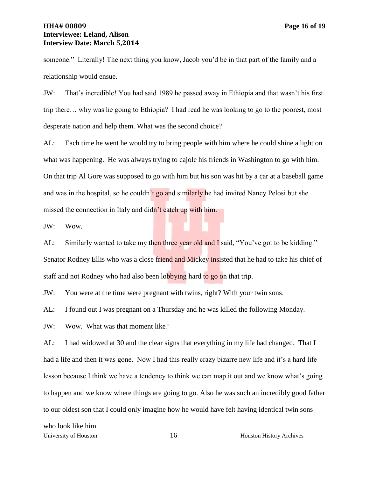# **HHA# 00809 Page 16 of 19 Interviewee: Leland, Alison Interview Date: March 5,2014**

someone." Literally! The next thing you know, Jacob you'd be in that part of the family and a relationship would ensue.

JW: That's incredible! You had said 1989 he passed away in Ethiopia and that wasn't his first trip there… why was he going to Ethiopia? I had read he was looking to go to the poorest, most desperate nation and help them. What was the second choice?

AL: Each time he went he would try to bring people with him where he could shine a light on what was happening. He was always trying to cajole his friends in Washington to go with him. On that trip Al Gore was supposed to go with him but his son was hit by a car at a baseball game and was in the hospital, so he couldn't go and similarly he had invited Nancy Pelosi but she missed the connection in Italy and didn't catch up with him.

JW: Wow.

AL: Similarly wanted to take my then three year old and I said, "You've got to be kidding." Senator Rodney Ellis who was a close friend and Mickey insisted that he had to take his chief of staff and not Rodney who had also been lobbying hard to go on that trip.

JW: You were at the time were pregnant with twins, right? With your twin sons.

AL: I found out I was pregnant on a Thursday and he was killed the following Monday.

JW: Wow. What was that moment like?

AL: I had widowed at 30 and the clear signs that everything in my life had changed. That I had a life and then it was gone. Now I had this really crazy bizarre new life and it's a hard life lesson because I think we have a tendency to think we can map it out and we know what's going to happen and we know where things are going to go. Also he was such an incredibly good father to our oldest son that I could only imagine how he would have felt having identical twin sons

University of Houston 16 Houston 16 Houston History Archives who look like him.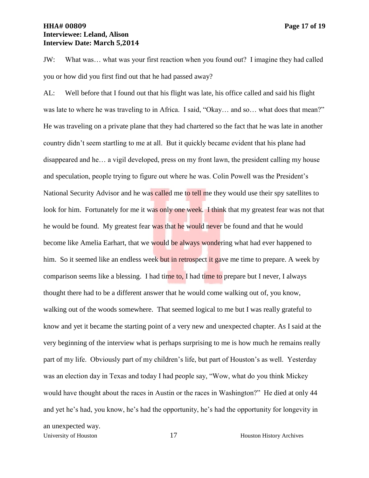# **HHA# 00809 Page 17 of 19 Interviewee: Leland, Alison Interview Date: March 5,2014**

JW: What was… what was your first reaction when you found out? I imagine they had called you or how did you first find out that he had passed away?

AL: Well before that I found out that his flight was late, his office called and said his flight was late to where he was traveling to in Africa. I said, "Okay... and so... what does that mean?" He was traveling on a private plane that they had chartered so the fact that he was late in another country didn't seem startling to me at all. But it quickly became evident that his plane had disappeared and he… a vigil developed, press on my front lawn, the president calling my house and speculation, people trying to figure out where he was. Colin Powell was the President's National Security Advisor and he was called me to tell me they would use their spy satellites to look for him. Fortunately for me it was only one week. I think that my greatest fear was not that he would be found. My greatest fear was that he would never be found and that he would become like Amelia Earhart, that we would be always wondering what had ever happened to him. So it seemed like an endless week but in retrospect it gave me time to prepare. A week by comparison seems like a blessing. I had time to, I had time to prepare but I never, I always thought there had to be a different answer that he would come walking out of, you know, walking out of the woods somewhere. That seemed logical to me but I was really grateful to know and yet it became the starting point of a very new and unexpected chapter. As I said at the very beginning of the interview what is perhaps surprising to me is how much he remains really part of my life. Obviously part of my children's life, but part of Houston's as well. Yesterday was an election day in Texas and today I had people say, "Wow, what do you think Mickey would have thought about the races in Austin or the races in Washington?" He died at only 44 and yet he's had, you know, he's had the opportunity, he's had the opportunity for longevity in an unexpected way.